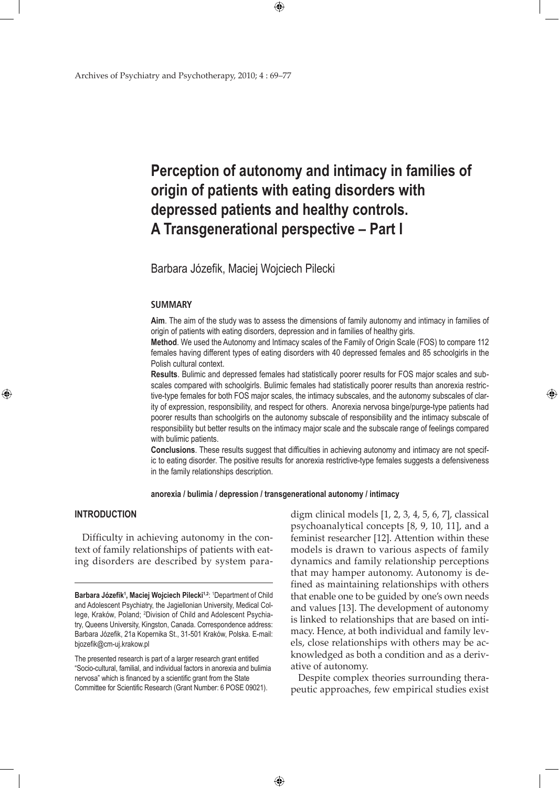# **Perception of autonomy and intimacy in families of origin of patients with eating disorders with depressed patients and healthy controls. A Transgenerational perspective – Part I**

 $\bigoplus$ 

Barbara Józefik, Maciej Wojciech Pilecki

## **SUMMARY**

**Aim**. The aim of the study was to assess the dimensions of family autonomy and intimacy in families of origin of patients with eating disorders, depression and in families of healthy girls.

**Method**. We used the Autonomy and Intimacy scales of the Family of Origin Scale (FOS) to compare 112 females having different types of eating disorders with 40 depressed females and 85 schoolgirls in the Polish cultural context.

**Results**. Bulimic and depressed females had statistically poorer results for FOS major scales and subscales compared with schoolgirls. Bulimic females had statistically poorer results than anorexia restrictive-type females for both FOS major scales, the intimacy subscales, and the autonomy subscales of clarity of expression, responsibility, and respect for others. Anorexia nervosa binge/purge-type patients had poorer results than schoolgirls on the autonomy subscale of responsibility and the intimacy subscale of responsibility but better results on the intimacy major scale and the subscale range of feelings compared with bulimic patients.

**Conclusions**. These results suggest that difficulties in achieving autonomy and intimacy are not specific to eating disorder. The positive results for anorexia restrictive-type females suggests a defensiveness in the family relationships description.

## **anorexia / bulimia / depression / transgenerational autonomy / intimacy**

 $\bigoplus$ 

## **INTRODUCTION**

⊕

Difficulty in achieving autonomy in the context of family relationships of patients with eating disorders are described by system paradigm clinical models [1, 2, 3, 4, 5, 6, 7], classical psychoanalytical concepts [8, 9, 10, 11], and a feminist researcher [12]. Attention within these models is drawn to various aspects of family dynamics and family relationship perceptions that may hamper autonomy. Autonomy is defined as maintaining relationships with others that enable one to be guided by one's own needs and values [13]. The development of autonomy is linked to relationships that are based on intimacy. Hence, at both individual and family levels, close relationships with others may be acknowledged as both a condition and as a derivative of autonomy.

⊕

Despite complex theories surrounding therapeutic approaches, few empirical studies exist

Barbara Józefik<sup>1</sup>, Maciej Wojciech Pilecki<sup>1,2</sup>: <sup>1</sup>Department of Child and Adolescent Psychiatry, the Jagiellonian University, Medical College, Kraków, Poland; <sup>2</sup>Division of Child and Adolescent Psychiatry, Queens University, Kingston, Canada. Correspondence address: Barbara Józefik, 21a Kopernika St., 31-501 Kraków, Polska. E-mail: bjozefik@cm-uj.krakow.pl

The presented research is part of a larger research grant entitled "Socio-cultural, familial, and individual factors in anorexia and bulimia nervosa" which is financed by a scientific grant from the State Committee for Scientific Research (Grant Number: 6 POSE 09021).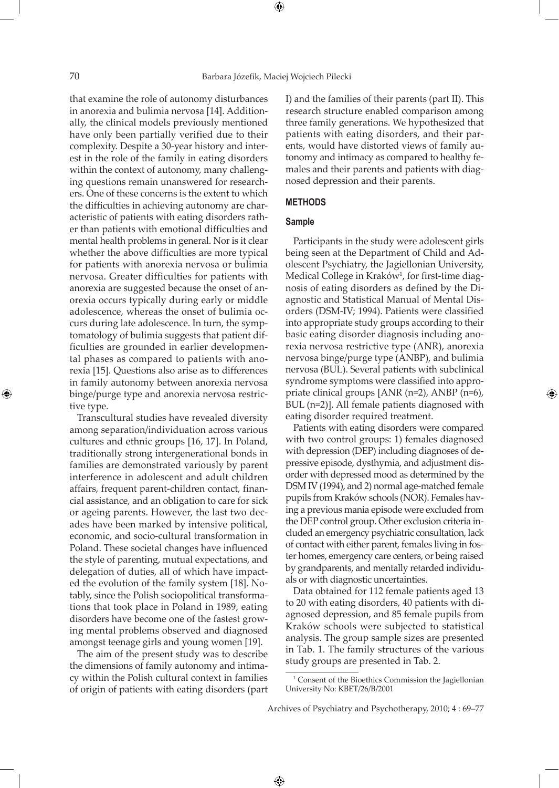⊕

that examine the role of autonomy disturbances in anorexia and bulimia nervosa [14]. Additionally, the clinical models previously mentioned have only been partially verified due to their complexity. Despite a 30-year history and interest in the role of the family in eating disorders within the context of autonomy, many challenging questions remain unanswered for researchers. One of these concerns is the extent to which the difficulties in achieving autonomy are characteristic of patients with eating disorders rather than patients with emotional difficulties and mental health problems in general. Nor is it clear whether the above difficulties are more typical for patients with anorexia nervosa or bulimia nervosa. Greater difficulties for patients with anorexia are suggested because the onset of anorexia occurs typically during early or middle adolescence, whereas the onset of bulimia occurs during late adolescence. In turn, the symptomatology of bulimia suggests that patient difficulties are grounded in earlier developmental phases as compared to patients with anorexia [15]. Questions also arise as to differences in family autonomy between anorexia nervosa binge/purge type and anorexia nervosa restrictive type.

Transcultural studies have revealed diversity among separation/individuation across various cultures and ethnic groups [16, 17]. In Poland, traditionally strong intergenerational bonds in families are demonstrated variously by parent interference in adolescent and adult children affairs, frequent parent-children contact, financial assistance, and an obligation to care for sick or ageing parents. However, the last two decades have been marked by intensive political, economic, and socio-cultural transformation in Poland. These societal changes have influenced the style of parenting, mutual expectations, and delegation of duties, all of which have impacted the evolution of the family system [18]. Notably, since the Polish sociopolitical transformations that took place in Poland in 1989, eating disorders have become one of the fastest growing mental problems observed and diagnosed amongst teenage girls and young women [19].

The aim of the present study was to describe the dimensions of family autonomy and intimacy within the Polish cultural context in families of origin of patients with eating disorders (part

I) and the families of their parents (part II). This research structure enabled comparison among three family generations. We hypothesized that patients with eating disorders, and their parents, would have distorted views of family autonomy and intimacy as compared to healthy females and their parents and patients with diagnosed depression and their parents.

## **METHODS**

## **Sample**

Participants in the study were adolescent girls being seen at the Department of Child and Adolescent Psychiatry, the Jagiellonian University, Medical College in Kraków<sup>1</sup>, for first-time diagnosis of eating disorders as defined by the Diagnostic and Statistical Manual of Mental Disorders (DSM-IV; 1994). Patients were classified into appropriate study groups according to their basic eating disorder diagnosis including anorexia nervosa restrictive type (ANR), anorexia nervosa binge/purge type (ANBP), and bulimia nervosa (BUL). Several patients with subclinical syndrome symptoms were classified into appropriate clinical groups [ANR (n=2), ANBP (n=6), BUL (n=2)]. All female patients diagnosed with eating disorder required treatment.

Patients with eating disorders were compared with two control groups: 1) females diagnosed with depression (DEP) including diagnoses of depressive episode, dysthymia, and adjustment disorder with depressed mood as determined by the DSM IV (1994), and 2) normal age-matched female pupils from Kraków schools (NOR). Females having a previous mania episode were excluded from the DEP control group. Other exclusion criteria included an emergency psychiatric consultation, lack of contact with either parent, females living in foster homes, emergency care centers, or being raised by grandparents, and mentally retarded individuals or with diagnostic uncertainties.

Data obtained for 112 female patients aged 13 to 20 with eating disorders, 40 patients with diagnosed depression, and 85 female pupils from Kraków schools were subjected to statistical analysis. The group sample sizes are presented in Tab. 1. The family structures of the various study groups are presented in Tab. 2.

<sup>&</sup>lt;sup>1</sup> Consent of the Bioethics Commission the Jagiellonian University No: KBET/26/B/2001

Archives of Psychiatry and Psychotherapy, 2010; 4 : 69–77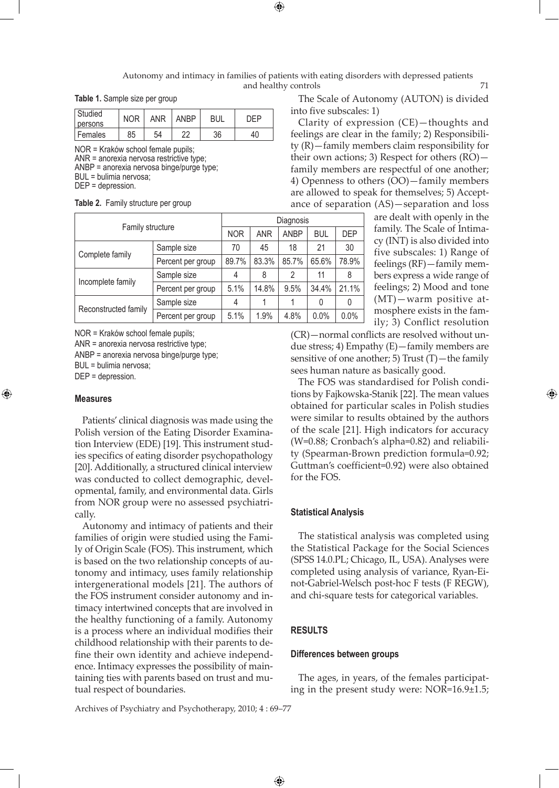Autonomy and intimacy in families of patients with eating disorders with depressed patients and healthy controls 71

**Table 1.** Sample size per group

| Studied   | <b>NOR</b> | ANR | <b>ANBP</b> | BUL | ∩FÞ |  |  |
|-----------|------------|-----|-------------|-----|-----|--|--|
| persons   |            |     |             |     |     |  |  |
| l Females | 85         | 54  | ົດຕ         | 36  | 40  |  |  |

NOR = Kraków school female pupils; ANR = anorexia nervosa restrictive type; ANBP = anorexia nervosa binge/purge type; BUL = bulimia nervosa; DEP = depression.

|  |  |  |  | <b>Table 2.</b> Family structure per group |  |  |
|--|--|--|--|--------------------------------------------|--|--|
|--|--|--|--|--------------------------------------------|--|--|

| Family structure     |                   | Diagnosis  |             |       |            |       |  |  |  |  |
|----------------------|-------------------|------------|-------------|-------|------------|-------|--|--|--|--|
|                      | <b>NOR</b>        | <b>ANR</b> | <b>ANBP</b> | BUL   | <b>DEP</b> |       |  |  |  |  |
|                      | Sample size       | 70         | 45          | 18    | 21         | 30    |  |  |  |  |
| Complete family      | Percent per group | 89.7%      | 83.3%       | 85.7% | 65.6%      | 78.9% |  |  |  |  |
|                      | Sample size       | 4          | 8           | 2     | 11         | 8     |  |  |  |  |
| Incomplete family    | Percent per group | 5.1%       | 14.8%       | 9.5%  | 34.4%      | 21.1% |  |  |  |  |
|                      | Sample size       | 4          |             |       | 0          | 0     |  |  |  |  |
| Reconstructed family | Percent per group | 5.1%       | 1.9%        | 4.8%  | 0.0%       | 0.0%  |  |  |  |  |

NOR = Kraków school female pupils;

ANR = anorexia nervosa restrictive type;

ANBP = anorexia nervosa binge/purge type;

BUL = bulimia nervosa;

DEP = depression.

#### **Measures**

⊕

Patients' clinical diagnosis was made using the Polish version of the Eating Disorder Examination Interview (EDE) [19]. This instrument studies specifics of eating disorder psychopathology [20]. Additionally, a structured clinical interview was conducted to collect demographic, developmental, family, and environmental data. Girls from NOR group were no assessed psychiatrically.

Autonomy and intimacy of patients and their families of origin were studied using the Family of Origin Scale (FOS). This instrument, which is based on the two relationship concepts of autonomy and intimacy, uses family relationship intergenerational models [21]. The authors of the FOS instrument consider autonomy and intimacy intertwined concepts that are involved in the healthy functioning of a family. Autonomy is a process where an individual modifies their childhood relationship with their parents to define their own identity and achieve independence. Intimacy expresses the possibility of maintaining ties with parents based on trust and mutual respect of boundaries.

The Scale of Autonomy (AUTON) is divided into five subscales: 1)

Clarity of expression (CE)—thoughts and feelings are clear in the family; 2) Responsibility (R)—family members claim responsibility for their own actions; 3) Respect for others  $(RO)$  family members are respectful of one another; 4) Openness to others (OO)—family members are allowed to speak for themselves; 5) Acceptance of separation (AS)—separation and loss

are dealt with openly in the family. The Scale of Intimacy (INT) is also divided into five subscales: 1) Range of feelings (RF)—family members express a wide range of feelings; 2) Mood and tone (MT)—warm positive atmosphere exists in the family; 3) Conflict resolution

(CR)—normal conflicts are resolved without undue stress; 4) Empathy (E)—family members are sensitive of one another; 5) Trust (T)—the family sees human nature as basically good.

The FOS was standardised for Polish conditions by Fajkowska-Stanik [22]. The mean values obtained for particular scales in Polish studies were similar to results obtained by the authors of the scale [21]. High indicators for accuracy (W=0.88; Cronbach's alpha=0.82) and reliability (Spearman-Brown prediction formula=0.92; Guttman's coefficient=0.92) were also obtained for the FOS.

# **Statistical Analysis**

The statistical analysis was completed using the Statistical Package for the Social Sciences (SPSS 14.0.PL; Chicago, IL, USA). Analyses were completed using analysis of variance, Ryan-Einot-Gabriel-Welsch post-hoc F tests (F REGW), and chi-square tests for categorical variables.

# **RESULTS**

#### **Differences between groups**

The ages, in years, of the females participating in the present study were: NOR=16.9±1.5;

Archives of Psychiatry and Psychotherapy, 2010; 4 : 69–77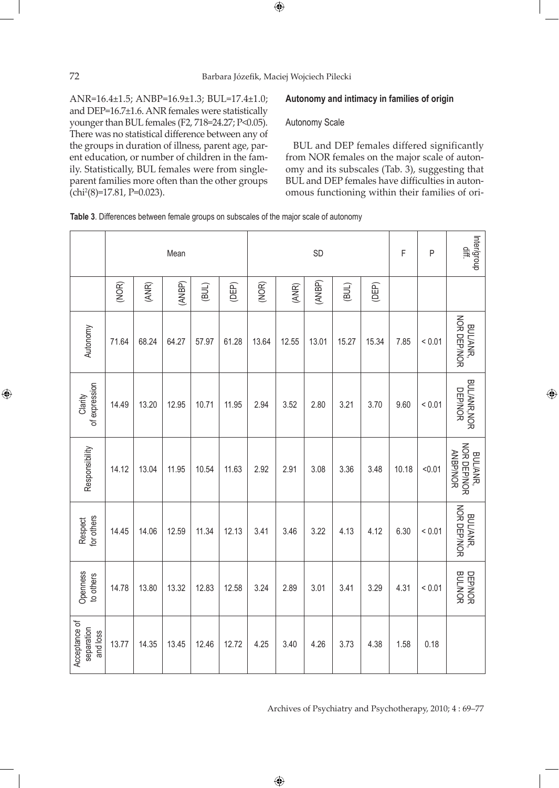ANR=16.4±1.5; ANBP=16.9±1.3; BUL=17.4±1.0; and DEP=16.7±1.6. ANR females were statistically younger than BUL females (F2, 718=24.27; Ρ<0.05). There was no statistical difference between any of the groups in duration of illness, parent age, parent education, or number of children in the family. Statistically, BUL females were from singleparent families more often than the other groups (chi2 (8)=17.81, Ρ=0.023).

# **Autonomy and intimacy in families of origin**

## Autonomy Scale

BUL and DEP females differed significantly from NOR females on the major scale of autonomy and its subscales (Tab. 3), suggesting that BUL and DEP females have difficulties in autonomous functioning within their families of ori-

⊕

**Table 3**. Differences between female groups on subscales of the major scale of autonomy

|                                         | Mean  |       |        |       |       |       |       | SD     | F     | P     | Inter/group<br>.<br>이 |             |                                            |
|-----------------------------------------|-------|-------|--------|-------|-------|-------|-------|--------|-------|-------|-----------------------|-------------|--------------------------------------------|
|                                         | (NOR) | (ANR) | (ANBP) | (BUL) | (DEP) | (NOR) | (ANR) | (ANBP) | (BUL) | (DEP) |                       |             |                                            |
| Autonomy                                | 71.64 | 68.24 | 64.27  | 57.97 | 61.28 | 13.64 | 12.55 | 13.01  | 15.27 | 15.34 | 7.85                  | < 0.01      | NOR DEP/NOR<br>BUL/ANR,                    |
| of expression<br>Clarity                | 14.49 | 13.20 | 12.95  | 10.71 | 11.95 | 2.94  | 3.52  | 2.80   | 3.21  | 3.70  | 9.60                  | < 0.01      | <b>BUL/ANR, NOR</b><br><b>DEP/NOR</b>      |
| Responsibility                          | 14.12 | 13.04 | 11.95  | 10.54 | 11.63 | 2.92  | 2.91  | 3.08   | 3.36  | 3.48  | 10.18                 | < 0.01      | NOR DEP/NOR<br><b>ANBP/NOR</b><br>BUL/ANR, |
| Respect<br>for others                   | 14.45 | 14.06 | 12.59  | 11.34 | 12.13 | 3.41  | 3.46  | 3.22   | 4.13  | 4.12  | 6.30                  | ${}_{0.01}$ | NOR DEP/NOR<br>BUL/ANR,                    |
| Openness<br>to others                   | 14.78 | 13.80 | 13.32  | 12.83 | 12.58 | 3.24  | 2.89  | 3.01   | 3.41  | 3.29  | 4.31                  | ${}_{0.01}$ | DEP/NOR<br>BUL/NOR                         |
| Acceptance of<br>separation<br>and loss | 13.77 | 14.35 | 13.45  | 12.46 | 12.72 | 4.25  | 3.40  | 4.26   | 3.73  | 4.38  | 1.58                  | 0.18        |                                            |

 $\bigoplus$ 

Archives of Psychiatry and Psychotherapy, 2010; 4 : 69–77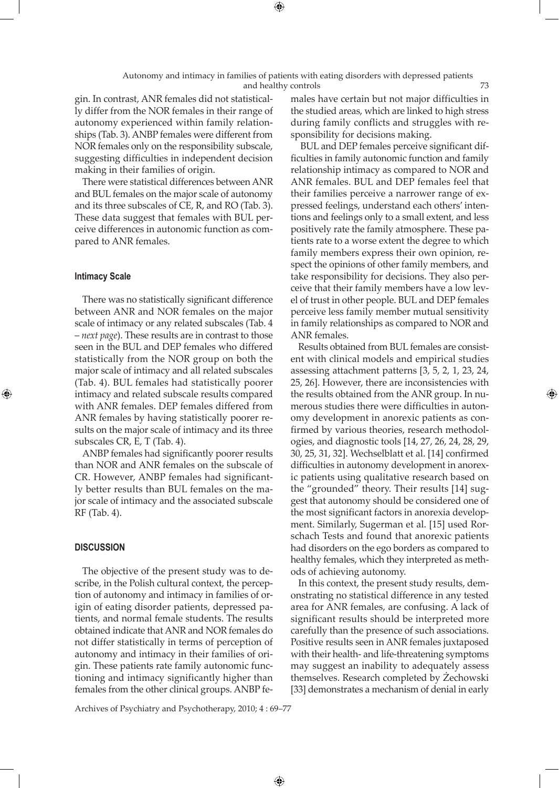⊕

gin. In contrast, ANR females did not statistically differ from the NOR females in their range of autonomy experienced within family relationships (Tab. 3). ANBP females were different from NOR females only on the responsibility subscale, suggesting difficulties in independent decision making in their families of origin.

There were statistical differences between ANR and BUL females on the major scale of autonomy and its three subscales of CE, R, and RO (Tab. 3). These data suggest that females with BUL perceive differences in autonomic function as compared to ANR females.

# **Intimacy Scale**

⊕

There was no statistically significant difference between ANR and NOR females on the major scale of intimacy or any related subscales (Tab. 4 – *next page*). These results are in contrast to those seen in the BUL and DEP females who differed statistically from the NOR group on both the major scale of intimacy and all related subscales (Tab. 4). BUL females had statistically poorer intimacy and related subscale results compared with ANR females. DEP females differed from ANR females by having statistically poorer results on the major scale of intimacy and its three subscales CR, E, T (Tab. 4).

ANBP females had significantly poorer results than NOR and ANR females on the subscale of CR. However, ANBP females had significantly better results than BUL females on the major scale of intimacy and the associated subscale RF (Tab. 4).

## **DISCUSSION**

The objective of the present study was to describe, in the Polish cultural context, the perception of autonomy and intimacy in families of origin of eating disorder patients, depressed patients, and normal female students. The results obtained indicate that ANR and NOR females do not differ statistically in terms of perception of autonomy and intimacy in their families of origin. These patients rate family autonomic functioning and intimacy significantly higher than females from the other clinical groups. ANBP females have certain but not major difficulties in the studied areas, which are linked to high stress during family conflicts and struggles with responsibility for decisions making.

 BUL and DEP females perceive significant difficulties in family autonomic function and family relationship intimacy as compared to NOR and ANR females. BUL and DEP females feel that their families perceive a narrower range of expressed feelings, understand each others' intentions and feelings only to a small extent, and less positively rate the family atmosphere. These patients rate to a worse extent the degree to which family members express their own opinion, respect the opinions of other family members, and take responsibility for decisions. They also perceive that their family members have a low level of trust in other people. BUL and DEP females perceive less family member mutual sensitivity in family relationships as compared to NOR and ANR females.

Results obtained from BUL females are consistent with clinical models and empirical studies assessing attachment patterns [3, 5, 2, 1, 23, 24, 25, 26]. However, there are inconsistencies with the results obtained from the ANR group. In numerous studies there were difficulties in autonomy development in anorexic patients as confirmed by various theories, research methodologies, and diagnostic tools [14, 27, 26, 24, 28, 29, 30, 25, 31, 32]. Wechselblatt et al. [14] confirmed difficulties in autonomy development in anorexic patients using qualitative research based on the "grounded" theory. Their results [14] suggest that autonomy should be considered one of the most significant factors in anorexia development. Similarly, Sugerman et al. [15] used Rorschach Tests and found that anorexic patients had disorders on the ego borders as compared to healthy females, which they interpreted as methods of achieving autonomy.

⊕

In this context, the present study results, demonstrating no statistical difference in any tested area for ANR females, are confusing. A lack of significant results should be interpreted more carefully than the presence of such associations. Positive results seen in ANR females juxtaposed with their health- and life-threatening symptoms may suggest an inability to adequately assess themselves. Research completed by Żechowski [33] demonstrates a mechanism of denial in early

Archives of Psychiatry and Psychotherapy, 2010; 4 : 69–77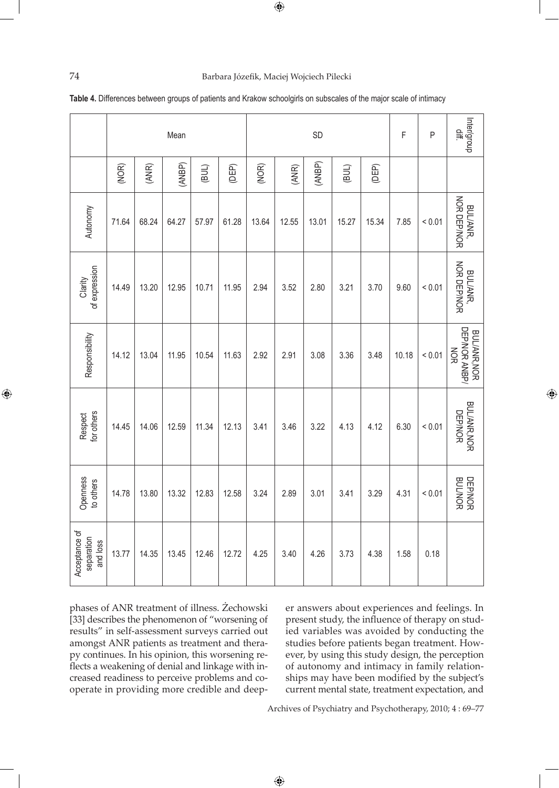# 74 Barbara Józefik, Maciej Wojciech Pilecki

|  | Table 4. Differences between groups of patients and Krakow schoolgirls on subscales of the major scale of intimacy |  |
|--|--------------------------------------------------------------------------------------------------------------------|--|
|  |                                                                                                                    |  |

|                                         |       |       | Mean   |       |       | SD    |       |        |       |       | F     | P          | Inter/group<br>$\equiv$                            |
|-----------------------------------------|-------|-------|--------|-------|-------|-------|-------|--------|-------|-------|-------|------------|----------------------------------------------------|
|                                         | (NOR) | (ANR) | (ANBP) | (BUL) | (DEP) | (NOR) | (ANR) | (ANBP) | (BUL) | (DEP) |       |            |                                                    |
| Autonomy                                | 71.64 | 68.24 | 64.27  | 57.97 | 61.28 | 13.64 | 12.55 | 13.01  | 15.27 | 15.34 | 7.85  | < 0.01     | NOR DEP/NOR<br>BUL/ANR,                            |
| of expression<br>Clarity                | 14.49 | 13.20 | 12.95  | 10.71 | 11.95 | 2.94  | 3.52  | 2.80   | 3.21  | 3.70  | 9.60  | ${}< 0.01$ | NOR DEP/NOR<br>BUL/ANR,                            |
| Responsibility                          | 14.12 | 13.04 | 11.95  | 10.54 | 11.63 | 2.92  | 2.91  | 3.08   | 3.36  | 3.48  | 10.18 | ${}< 0.01$ | DEP/NOR ANBP/<br><b>BUL/ANR, NOR</b><br><b>NOR</b> |
| Respect<br>for others                   | 14.45 | 14.06 | 12.59  | 11.34 | 12.13 | 3.41  | 3.46  | 3.22   | 4.13  | 4.12  | 6.30  | < 0.01     | <b>BUL/ANR, NOR</b><br><b>DEP/NOR</b>              |
| Openness<br>to others                   | 14.78 | 13.80 | 13.32  | 12.83 | 12.58 | 3.24  | 2.89  | 3.01   | 3.41  | 3.29  | 4.31  | < 0.01     | <b>BUL/NOR</b><br><b>DEP/NOR</b>                   |
| Acceptance of<br>separation<br>and loss | 13.77 | 14.35 | 13.45  | 12.46 | 12.72 | 4.25  | 3.40  | 4.26   | 3.73  | 4.38  | 1.58  | 0.18       |                                                    |

 $\bigoplus$ 

phases of ANR treatment of illness. Żechowski [33] describes the phenomenon of "worsening of results" in self-assessment surveys carried out amongst ANR patients as treatment and therapy continues. In his opinion, this worsening reflects a weakening of denial and linkage with increased readiness to perceive problems and cooperate in providing more credible and deeper answers about experiences and feelings. In present study, the influence of therapy on studied variables was avoided by conducting the studies before patients began treatment. However, by using this study design, the perception of autonomy and intimacy in family relationships may have been modified by the subject's current mental state, treatment expectation, and

⊕

Archives of Psychiatry and Psychotherapy, 2010; 4 : 69–77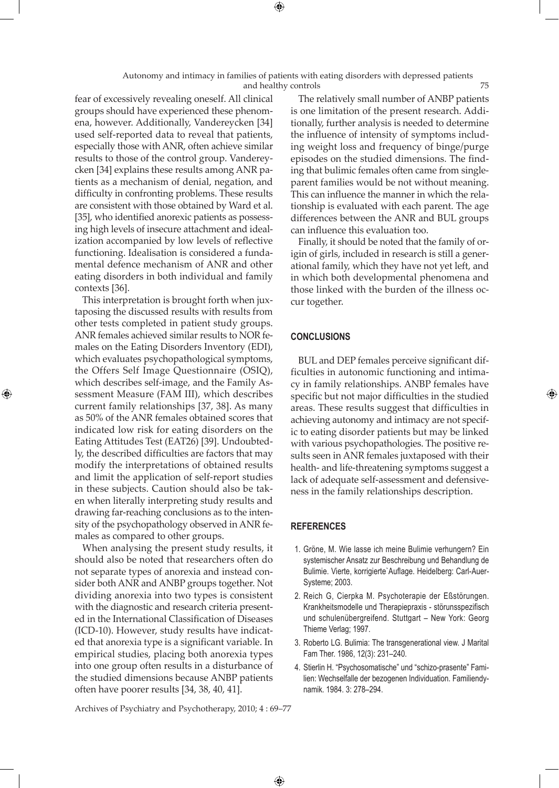Autonomy and intimacy in families of patients with eating disorders with depressed patients and healthy controls 75

fear of excessively revealing oneself. All clinical groups should have experienced these phenomena, however. Additionally, Vandereycken [34] used self-reported data to reveal that patients, especially those with ANR, often achieve similar results to those of the control group. Vandereycken [34] explains these results among ANR patients as a mechanism of denial, negation, and difficulty in confronting problems. These results are consistent with those obtained by Ward et al. [35], who identified anorexic patients as possessing high levels of insecure attachment and idealization accompanied by low levels of reflective functioning. Idealisation is considered a fundamental defence mechanism of ANR and other eating disorders in both individual and family contexts [36].

This interpretation is brought forth when juxtaposing the discussed results with results from other tests completed in patient study groups. ANR females achieved similar results to NOR females on the Eating Disorders Inventory (EDI), which evaluates psychopathological symptoms, the Offers Self Image Questionnaire (OSIQ), which describes self-image, and the Family Assessment Measure (FAM III), which describes current family relationships [37, 38]. As many as 50% of the ANR females obtained scores that indicated low risk for eating disorders on the Eating Attitudes Test (EAT26) [39]. Undoubtedly, the described difficulties are factors that may modify the interpretations of obtained results and limit the application of self-report studies in these subjects. Caution should also be taken when literally interpreting study results and drawing far-reaching conclusions as to the intensity of the psychopathology observed in ANR females as compared to other groups.

⊕

When analysing the present study results, it should also be noted that researchers often do not separate types of anorexia and instead consider both ANR and ANBP groups together. Not dividing anorexia into two types is consistent with the diagnostic and research criteria presented in the International Classification of Diseases (ICD-10). However, study results have indicated that anorexia type is a significant variable. In empirical studies, placing both anorexia types into one group often results in a disturbance of the studied dimensions because ANBP patients often have poorer results [34, 38, 40, 41].

The relatively small number of ANBP patients is one limitation of the present research. Additionally, further analysis is needed to determine the influence of intensity of symptoms including weight loss and frequency of binge/purge episodes on the studied dimensions. The finding that bulimic females often came from singleparent families would be not without meaning. This can influence the manner in which the relationship is evaluated with each parent. The age differences between the ANR and BUL groups can influence this evaluation too.

Finally, it should be noted that the family of origin of girls, included in research is still a generational family, which they have not yet left, and in which both developmental phenomena and those linked with the burden of the illness occur together.

## **CONCLUSIONS**

BUL and DEP females perceive significant difficulties in autonomic functioning and intimacy in family relationships. ANBP females have specific but not major difficulties in the studied areas. These results suggest that difficulties in achieving autonomy and intimacy are not specific to eating disorder patients but may be linked with various psychopathologies. The positive results seen in ANR females juxtaposed with their health- and life-threatening symptoms suggest a lack of adequate self-assessment and defensiveness in the family relationships description.

#### **REFERENCES**

 $\bigoplus$ 

- 1. Gröne, M. Wie lasse ich meine Bulimie verhungern? Ein systemischer Ansatz zur Beschreibung und Behandlung de Bulimie. Vierte, korrigierte`Auflage. Heidelberg: Carl-Auer-Systeme; 2003.
- 2. Reich G, Cierpka M. Psychoterapie der Eßstörungen. Krankheitsmodelle und Therapiepraxis - störunsspezifisch und schulenübergreifend. Stuttgart – New York: Georg Thieme Verlag; 1997.
- 3. Roberto LG. Bulimia: The transgenerational view. J Marital Fam Ther. 1986, 12(3): 231–240.
- 4. Stierlin H. "Psychosomatische" und "schizo-prasente" Familien: Wechselfalle der bezogenen Individuation. Familiendynamik. 1984. 3: 278–294.

Archives of Psychiatry and Psychotherapy, 2010; 4 : 69–77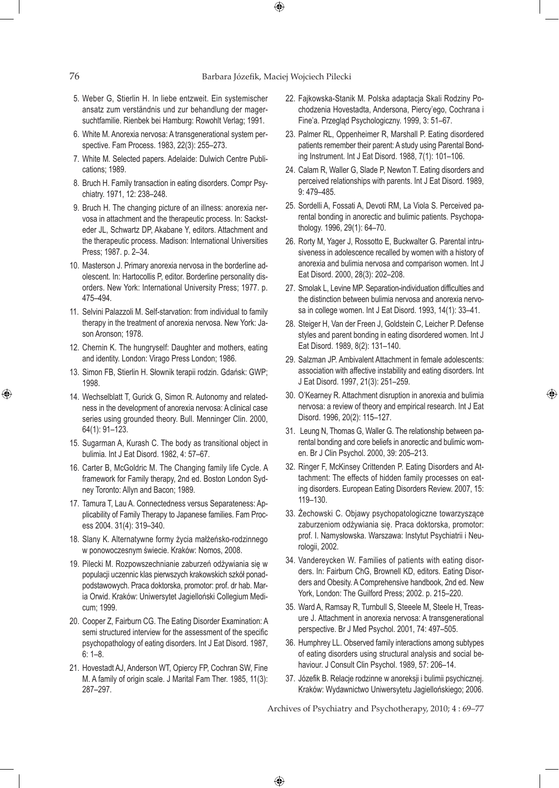⊕

- 5. Weber G, Stierlin H. In liebe entzweit. Ein systemischer ansatz zum verständnis und zur behandlung der magersuchtfamilie. Rienbek bei Hamburg: Rowohlt Verlag; 1991.
- 6. White M. Anorexia nervosa: A transgenerational system perspective. Fam Process. 1983, 22(3): 255–273.
- 7. White M. Selected papers. Adelaide: Dulwich Centre Publications; 1989.
- 8. Bruch H. Family transaction in eating disorders. Compr Psychiatry. 1971, 12: 238–248.
- 9. Bruch H. The changing picture of an illness: anorexia nervosa in attachment and the therapeutic process. In: Sacksteder JL, Schwartz DP, Akabane Y, editors. Attachment and the therapeutic process. Madison: International Universities Press; 1987. p. 2–34.
- 10. Masterson J. Primary anorexia nervosa in the borderline adolescent. In: Hartocollis P, editor. Borderline personality disorders. New York: International University Press; 1977. p. 475–494.
- 11. Selvini Palazzoli M. Self-starvation: from individual to family therapy in the treatment of anorexia nervosa. New York: Jason Aronson; 1978.
- 12. Chernin K. The hungryself: Daughter and mothers, eating and identity. London: Virago Press London; 1986.
- 13. Simon FB, Stierlin H. Słownik terapii rodzin. Gdańsk: GWP; 1998.
- 14. Wechselblatt T, Gurick G, Simon R. Autonomy and relatedness in the development of anorexia nervosa: A clinical case series using grounded theory. Bull. Menninger Clin. 2000, 64(1): 91–123.
- 15. Sugarman A, Kurash C. The body as transitional object in bulimia. Int J Eat Disord. 1982, 4: 57–67.
- 16. Carter B, McGoldric M. The Changing family life Cycle. A framework for Family therapy, 2nd ed. Boston London Sydney Toronto: Allyn and Bacon; 1989.
- 17. Tamura T, Lau A. Connectedness versus Separateness: Applicability of Family Therapy to Japanese families. Fam Process 2004. 31(4): 319–340.
- 18. Slany K. Alternatywne formy życia małżeńsko-rodzinnego w ponowoczesnym świecie. Kraków: Nomos, 2008.
- 19. Pilecki M. Rozpowszechnianie zaburzeń odżywiania się w populacji uczennic klas pierwszych krakowskich szkół ponadpodstawowych. Praca doktorska, promotor: prof. dr hab. Maria Orwid. Kraków: Uniwersytet Jagielloński Collegium Medicum; 1999.
- 20. Cooper Z, Fairburn CG. The Eating Disorder Examination: A semi structured interview for the assessment of the specific psychopathology of eating disorders. Int J Eat Disord. 1987, 6: 1–8.
- 21. Hovestadt AJ, Anderson WT, Opiercy FP, Cochran SW, Fine M. A family of origin scale. J Marital Fam Ther. 1985, 11(3): 287–297.
- 22. Fajkowska-Stanik M. Polska adaptacja Skali Rodziny Pochodzenia Hovestadta, Andersona, Piercy'ego, Cochrana i Fine'a. Przegląd Psychologiczny. 1999, 3: 51–67.
- 23. Palmer RL, Oppenheimer R, Marshall P. Eating disordered patients remember their parent: A study using Parental Bonding Instrument. Int J Eat Disord. 1988, 7(1): 101–106.
- 24. Calam R, Waller G, Slade P, Newton T. Eating disorders and perceived relationships with parents. Int J Eat Disord. 1989, 9: 479–485.
- 25. Sordelli A, Fossati A, Devoti RM, La Viola S. Perceived parental bonding in anorectic and bulimic patients. Psychopathology. 1996, 29(1): 64–70.
- 26. Rorty M, Yager J, Rossotto E, Buckwalter G. Parental intrusiveness in adolescence recalled by women with a history of anorexia and bulimia nervosa and comparison women. Int J Eat Disord. 2000, 28(3): 202–208.
- 27. Smolak L, Levine MP. Separation-individuation difficulties and the distinction between bulimia nervosa and anorexia nervosa in college women. Int J Eat Disord. 1993, 14(1): 33–41.
- 28. Steiger H, Van der Freen J, Goldstein C, Leicher P. Defense styles and parent bonding in eating disordered women. Int J Eat Disord. 1989, 8(2): 131–140.
- 29. Salzman JP. Ambivalent Attachment in female adolescents: association with affective instability and eating disorders. Int J Eat Disord. 1997, 21(3): 251–259.
- 30. O'Kearney R. Attachment disruption in anorexia and bulimia nervosa: a review of theory and empirical research. Int J Eat Disord. 1996, 20(2): 115–127.

⊕

- 31. Leung N, Thomas G, Waller G. The relationship between parental bonding and core beliefs in anorectic and bulimic women. Br J Clin Psychol. 2000, 39: 205–213.
- 32. Ringer F, McKinsey Crittenden P. Eating Disorders and Attachment: The effects of hidden family processes on eating disorders. European Eating Disorders Review. 2007, 15: 119–130.
- 33. Żechowski C. Objawy psychopatologiczne towarzyszące zaburzeniom odżywiania się. Praca doktorska, promotor: prof. I. Namysłowska. Warszawa: Instytut Psychiatrii i Neurologii, 2002.
- 34. Vandereycken W. Families of patients with eating disorders. In: Fairburn ChG, Brownell KD, editors. Eating Disorders and Obesity. A Comprehensive handbook, 2nd ed. New York, London: The Guilford Press; 2002. p. 215–220.
- 35. Ward A, Ramsay R, Turnbull S, Steeele M, Steele H, Treasure J. Attachment in anorexia nervosa: A transgenerational perspective. Br J Med Psychol. 2001, 74: 497–505.
- 36. Humphrey LL. Observed family interactions among subtypes of eating disorders using structural analysis and social behaviour. J Consult Clin Psychol. 1989, 57: 206-14.
- 37. Józefik B. Relacje rodzinne w anoreksji i bulimii psychicznej. Kraków: Wydawnictwo Uniwersytetu Jagiellońskiego; 2006.

Archives of Psychiatry and Psychotherapy, 2010; 4 : 69–77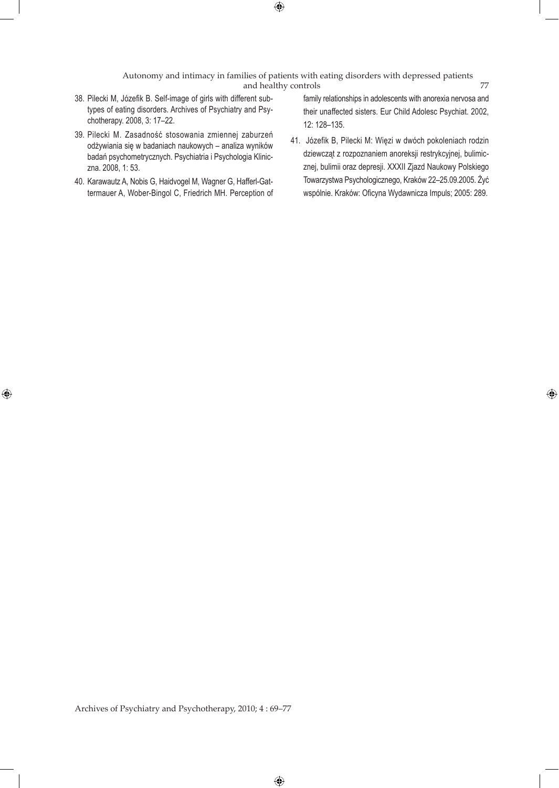Autonomy and intimacy in families of patients with eating disorders with depressed patients and healthy controls 77

- 38. Pilecki M, Józefik B. Self-image of girls with different subtypes of eating disorders. Archives of Psychiatry and Psychotherapy. 2008, 3: 17–22.
- 39. Pilecki M. Zasadność stosowania zmiennej zaburzeń odżywiania się w badaniach naukowych – analiza wyników badań psychometrycznych. Psychiatria i Psychologia Kliniczna. 2008, 1: 53.
- 40. Karawautz A, Nobis G, Haidvogel M, Wagner G, Hafferl-Gattermauer A, Wober-Bingol C, Friedrich MH. Perception of

 $\bigoplus$ 

family relationships in adolescents with anorexia nervosa and their unaffected sisters. Eur Child Adolesc Psychiat. 2002, 12: 128–135.

41. Józefik B, Pilecki M: Więzi w dwóch pokoleniach rodzin dziewcząt z rozpoznaniem anoreksji restrykcyjnej, bulimicznej, bulimii oraz depresji. XXXII Zjazd Naukowy Polskiego Towarzystwa Psychologicznego, Kraków 22–25.09.2005. Żyć wspólnie. Kraków: Oficyna Wydawnicza Impuls; 2005: 289.

⊕

Archives of Psychiatry and Psychotherapy, 2010; 4 : 69–77